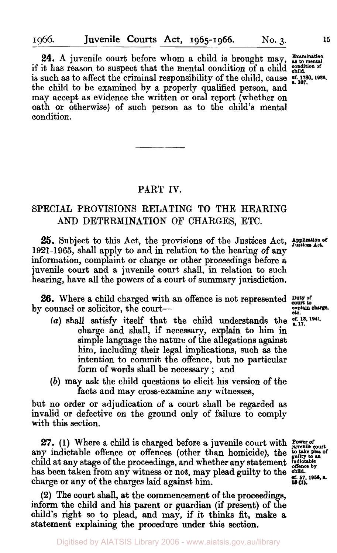24. A juvenile court before whom a child is brought may, **Examination** if it has reason to suspect that the mental condition of a child **condition of**  is such as to affect the criminal responsibility of the child, cause **st. 1780, 1926.** the child **to** be examined by a properly qualified person, and may accept as evidence the written or oral report (whether **on**  oath **or** otherwise) **of** such person as to the child's mental condition.

#### **PART IV.**

### **SPECIAL PROVISIONS RELATING TO THE HEARING AND DETERMINATION OF CHARGES, ETC.**

25. Subject to this Act, the provisions of the Justices Act, Application of **1921-1965,** shall apply to and in relation to the hearing of any information, complaint **or** charge **or** other proceedings before a juvenile court and a juvenile court shall, in relation to such hearing, have all the powers of a court of summary jurisdiction.

**26.** Where a child charged with an offence is not represented by counsel or solicitor, the court-

- (a) shall satisfy itself that the child understands the  $_{-17}^{6f,13,1941}$ . charge and shall, if necessary, explain to him in simple language the nature of the allegations against him, including their legal implications, such as the intention to commit the offence, but no particular form of **words** shall be necessary ; and
- *(b)* may ask the child questions to elicit his version of the facts and may cross-examine any witnesses,

but no order **or** adjudication of a court shall be regarded as invalid **or** defective on the ground only of failure to comply with this section.

**27.** (1) Where a child is charged before a juvenile court with **Power of court** any indictable offence or offences (other than homicide), the **to take plea** child at any stage of the proceedings and whether any statement pulcitable child at any stage of the proceedings, and whether any statement **indictable** has been taken from any witness or not. may plead quilty to the <sup>offence by</sup> has been taken from any witness or not, may plead guilty to the child. charge or any of the charges laid against him. charge **or** any **of** the charges laid against him. **13 (1).** 

**(2)** The court shall, at the commencement **of** the proceedings, inform the child and his parent **or** guardian (if present) **of** the child's right so to plead, and may, if it thinks fit, make **a**  statement explaining the procedure under this section.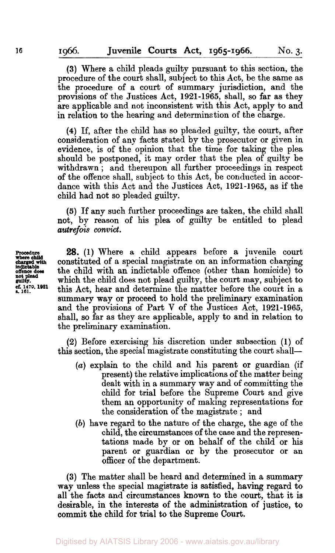**(3)** Where a child pleads guilty pursuant to this section, the procedure of the court shall, subject to this Act, be the same as the procedure of a court of summary jurisdiction, and the provisions of the Justices Act, **1921-1965,** shall, *so* far as they are applicable and not inconsistent with this Act, apply to and in relation to the hearing and determination of the charge.

**(4)** If, after the child has *so* pleaded guilty, the court, after consideration of any facts stated by the prosecutor or given in evidence, is **of** the opinion that the time for taking the plea should be postponed, it may order that the plea of quilty be withdrawn; and thereupon all further proceedings in respect of the offence shall, subject to this Act, be conducted in accordance with this Act and the Justices Act, **1921-1965,** as if the child had not *so* pleaded guilty.

**(5)** If any such further proceedings are taken, the child shall not, by reason of his plea of guilty be entitled to plead *autrefois convict.* 

**28.** (1) Where a child appears before a juvenile court constituted of a special magistrate on an information charging the child with an indictable offence (other than homicide) to which the child does not plead guilty, the court may, subject to **s. 161. 1479.** this Act, hear and determine the matter before the court in a summary way or proceed to hold the preliminary examination and the provisions of Part **V** of the Justices Act, **1921-1965,**  shall, *so* far as they are applicable, apply to and in relation to the preliminary examination.

**(2)** Before exercising his discretion under subsection **(1)** of this section, the special magistrate constituting the court shall—

- *(a)* explain to the child and his parent or guardian (if present) the relative implications of the matter being dealt with in **a** summary way and of committing the child for trial before the Supreme Court and give them an opportunity of making representations for the consideration of the magistrate ; and
- *(b)* have regard to the nature of the charge, the age of the child, the circumstances of the case and the representations made by or **on** behalf **of** the child or his parent or guardian **or** by the prosecutor or an officer of the department.

**(3)** The matter shall be heard and determined in a summary way unless the special magistrate is satisfied, having regard to all the facts and circumstances known to the court, that it is desirable, in the interests of the administration of justice, to commit the child for trial to the Supreme **Court.** 

**where child indictable not plead guilty.**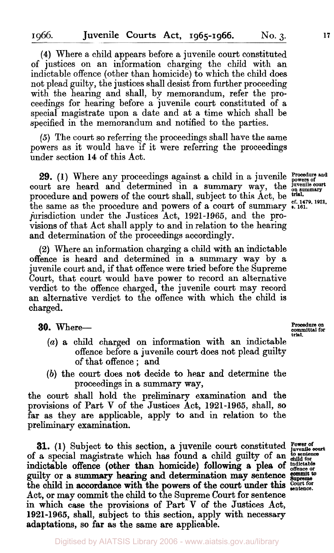of justices on an information charging the child with an indictable offence (other than homicide) to which the child does not plead guilty, the justices shall desist from further proceeding with the hearing and shall, by memorandum, refer the proceedings for hearing before a juvenile court constituted of a special magistrate upon a date and at a time which shall be specified in the memorandum and notified to the parties.

*(5)* The court so referring the proceedings shall have the same powers as it would have if it were referring the proceedings under section **14** of this Act.

**29.** (1) Where any proceedings against a child in a juvenile **Procedure** and court are heard and determined in a summary way, the *juvenile court* procedure and powers of the court shall, subject to this Act, be **trial. 1921.** the same as the procedure and powers of a court of summary **s.** 161. 1921, jurisdiction under the Justices Act, **1921-1965,** and the provisions of that Act shall apply to and in relation to the hearing and determination of the proceedings accordingly.

**(2)** Where an information charging a child with an indictable offence is heard and determined in a summary way by a juvenile court and, if that offence were tried before the Supreme Court, that court would have power to record an alternative verdict to the offence charged, the juvenile court may record an alternative verdict to the offence with which the child is charged.

#### *30.* Where-

- *(a)* a child charged on information with an indictable offence before a juvenile court does not plead guilty of that offence ; and
- *(b)* the court does not decide **to** hear and determine the proceedings in a summary way,

the court shall hold the preliminary examination and the provisions of Part **V** of the Justices Act, **1921-1965,** shall, so far as they are applicable, apply **to** and in relation to the preliminary examination.

**31.** (1) Subject to this section, a juvenile court constituted Power of  $_{\text{juvenile}}$  court of a special magistrate which has found a child guilty of an guilty **or** a summary hearing and determination may sentence Act, **or** may commit the child to the Supreme Court for sentence in which case the provisions of Part **V** of the Justices Act, **1921-1965,** shall, subject to this section, apply with necessary adaptations, so far as the same are applicable. indictable offence (other than homicide) following a plea of **indictable** the child in accordance with the powers of the court under this court or

**Procedure on committal for trial**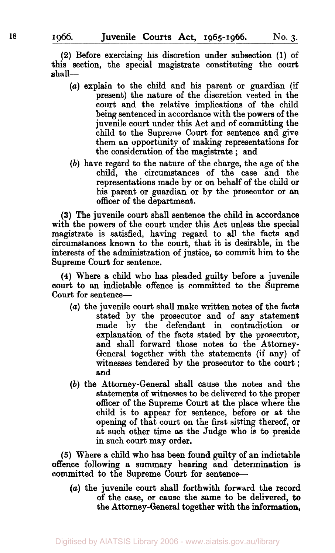**(2)** Before exercising his discretion under subsection (1) of this section, the special magistrate constituting the court shall-

- *(a)* explain to the child and his parent or guardian (if present) the nature of the discretion vested in the court and the relative implications of the child being sentenced in accordance with the powers of the juvenile court under this Act and of committing the child to the Supreme Court for sentence and give them an opportunity of making representations for the consideration of the magistrate ; and
- (b) have regard to the nature of the charge, the age of the child, the circumstances of the case and the representations made by or on behalf of the child or his parent or guardian or by the prosecutor or an officer of the department.

(3) The juvenile court shall sentence the child in accordance with the powers of the court under this Act unless the special magistrate is satisfied, having regard to all the facts and circumstances known to the court, that it is desirable, in the interests of the administration of justice, to commit him to the Supreme Court for sentence.

**(4)** Where a child who has pleaded guilty before a juvenile court to an indictable offence is committed to the Supreme Court for sentence-

- *(a)* the juvenile court shall make written notes of the facta stated by the prosecutor and of any statement made by the defendant in contradiction or explanation of the facts stated by the prosecutor, and shall forward those notes to the Attorney-General together with the statements (if any) of witnesses tendered by the prosecutor to the court ; and
- (b) the Attorney-General shall cause the notes and the statements of witnesses to be delivered to the proper officer of the Supreme Court at the place where the child is to appear for sentence, before or at the opening of that court on the first sitting thereof, or at such other time **as** the Judge who is to preside in such court may order.

(6) Where a child who has been found guilty of an indictable offence following a summary hearing and determination is committed to the Supreme Court for sentence-

*(a)* the juvenile court shall forthwith forward the record of the case, or cause the same to be delivered, to the Attorney-General together with the **information,**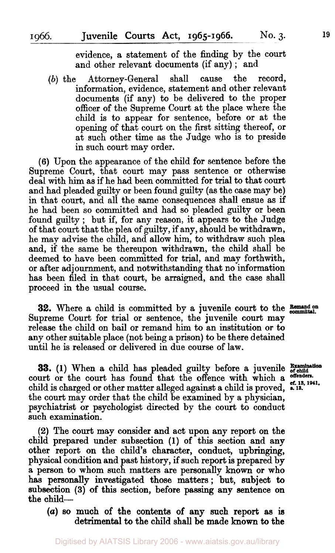evidence, a statement of the finding by the court and other relevant documents (if any) ; and

*(b)* the Attorney-General shall cause the record, information, evidence, statement and other relevant documents (if any) to be delivered to the proper officer of the Supreme Court at the place where the child is to appear for sentence, before or at the opening of that court on the first sitting thereof, **or**  at such other time as the Judge who is to preside in such court may order.

**(6)** Upon the appearance of the child for sentence before the Supreme Court, that court may pass sentence **or** otherwise deal with him as if he had been committed for trial to that court and had pleaded guilty or been found guilty (as the case may be) in that court, and all the same consequences shall ensue as if he had been so committed and had so pleaded guilty **or** been found guilty ; but if, for any reason, it appears to the Judge of that court that the plea of guilty, if any, should be withdrawn, he may advise the child, and allow him, to withdraw such plea and, if the same be thereupon withdrawn, the child shall be deemed to have been committed for trial, and **may** forthwith, **or** after adjournment, and notwithstanding that no information has been filed in that court, be arraigned, and the case shall proceed in the usual come.

**32.** Where a child is committed by a juvenile court to the **Bemand on** Supreme Court **for** trial **or** sentence, the juvenile court may release the child on bail or remand him to an institution **or** to any other suitable place (not being a prison) to be there detained until he is released **or** delivered in due course of law.

**33.** (1) When a child has pleaded guilty before a juvenile Examination court or the court has found that the offence with which a offenders. child is charged or other matter alleged against a child is proved, **R** 13. 1941. the court may order that the child be examined by a physician. psychiatrist **or** psychologist directed by the court to conduct such examination.

**(2)** The **court** may consider and act upon any report on the child prepared under subsection (1) of this section and any other report on the child's character, conduct, upbringing, physical condition and past history, if such report is prepared by a person to whom such matters are personally known **or** who **has** personally investigated those matters; but, subject to subsection **(3)** of this section, before passing any sentence **on**  the child-

*(a)* **so** much of the contents **of any** such report as is detrimental to the child shall be made known to the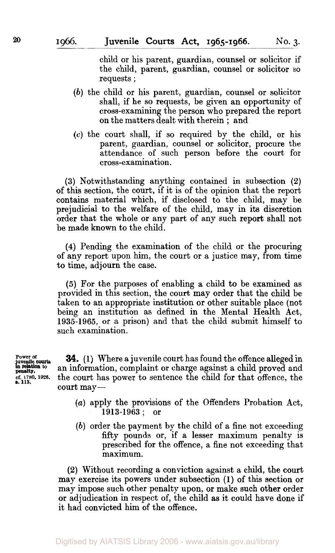child or his parent, guardian, counsel or solicitor if the child, parent, guardian, counsel or solicitor so requests ;

- *(b)* the child or his parent, guardian, counsel or solicitor shall, if he so requests, be given an opportunity of cross-examining the person who prepared the report on the matters dealt with therein ; and
- **(c)** the court shall, if so required by the child, or his parent, guardian, counsel or solicitor, procure the attendance of such person before the court for cross-examination.

**(3)** Notwithstanding anything contained in subsection **(2)**  of this section, the court, if it is of the opinion that the report contains material which, if disclosed to the child, may be prejudicial to the welfare of the child, may in its discretion order that the whole **or** any part of any such report shall not be made **known** to the child.

**(4)** Pending the examination **of** the child or the procuring of any report upon him, the court or a justice may, from time to time, adjourn the case.

*(5)* For the purposes **of** enabling a child **to** be examined as provided in this section, the court may order that the child be taken to an appropriate institution or other suitable place (not being an institution as defined in the Mental Health Act, **1935-1965,** or a prison) and that the child submit himself to such examination.

*8.* **113.** 

Power of **34.** (1) Where a juvenile court has found the offence alleged in juvenile court as found the offence alleged in information complaint or charge against a child proved and **to** an information, complaint or charge against a child proved and **cf.** 1780, 1926. **cf. 1780, 1926. cf. 1780, 1926. the court has power to sentence the child for that offence, the** court may-

- *(a)* apply the provisions of the Offenders Probation Act, **1913-1963** ; or
- *(b)* order the payment by the child of a fine not exceeding fifty pounds or, if a lesser maximum penalty is prescribed for the offence, a fine not exceeding that maximum.

**(2)** Without recording a conviction against a child, the court may exercise its powers under subsection **(1) of** this section or may impose such other penalty upon, or make such other order or adjudication in respect of, the child as it could have done if it had convicted him of the offence.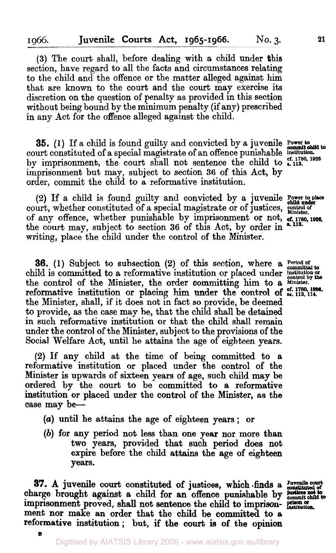**(3)** The court shall, before dealing with a child under this section, have regard to all the facts and circumstances relating to the child and the offence or the matter alleged against him that are known to the court and the court may exercise its discretion on the question of penalty as provided in this section without being bound by the minimum penalty (if any) prescribed in any Act for the offence alleged against the child.

**35. (1)** If a child is found guilty and convicted by a juvenile **Power to court constituted of a special magistrate of an offence punishable institution.** by imprisonment, the court shall not sentence the child to **s. 133**  imprisonment but **may,** subject to section **36** of this Act, by order, commit the child to a reformative institution.

court, whether constituted of a special magistrate or of justices,  $\frac{1}{\text{Minkler}}$ of any offence, whether punishable by imprisonment **or** not, of any onence, whener punishable by imprisonment of not, **ef. 1780, 1926,** the court may, subject to section 36 of this Act, by order in **\*118.** writing, place the child under the control of the Minister. **(2)** If a child is found guilty and convicted by a juvenile **Power to place child under** 

**36. (1)** Subject to subsection **(2)** of this section, where **<sup>a</sup>** child is committed to a reformative institution or placed under **institution** or the control of the Minister, the order committing him to a **Minister**. the Minister, shall, if it does not in fact so provide, be deemed to provide, as the case may be, that the child shall be detained in such reformative institution or that the child shall remain under the control of the Minister, subject to the provisions of the Social Welfare Act, until **he** attains the age of eighteen years. reformative institution or placing him under the control of  $\frac{67}{48}$ ,  $\frac{1780}{113}$ ,  $\frac{116}{14}$ 

**(2)** If **any** child at the time of being committed to **a**  reformative institution or placed under the control **of** the Minister is upwards of sixteen years **of** age, such child may be ordered by the court to **be** committed to a reformative institution **or** placed under the control of the Minister, as the case may be-

- *(a)* until he attains the age of eighteen **years; or**
- *(b)* **for any** period not less than one **year nor** more than two years, provided that such period does not expire before the child attains the age **of** eighteen **years.**

**87. A** juvenile court constituted **of** justices, which finds a **Juvenile court constituted of**  charge brought against a child for an offence punishable by *unit* imprisonment proved, shall not sentence the child to imprisonment **nor** make **an** order that the child be committed to a reformative institution; but, if the court **is of** the opinion

**B**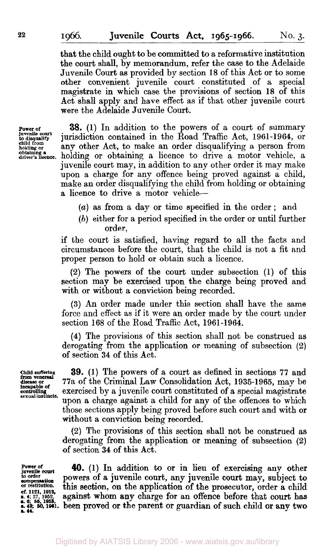that the child ought to be committed to a reformative institution the court shall, by memorandum, refer the case to the Adelaide Juvenile Court as provided by section **18** of this Act or to some other convenient juvenile court constituted of a special magistrate in which case the provisions of section **18** of this Act shall apply and have effect as if that other juvenile court were the Adelaide Juvenile Court.

**Power of Juvenile** *court*  **child from to disqualify holding or obtaining a driver's licence.** 

**38. (1)** In addition to the powers of a court of summary jurisdiction contained in the Road Traffic Act, **1961-1964,** or any other Act, to make an order disqualifying a person from holding or obtaining a licence to drive a motor vehicle, a juvenile court may, in addition to any other order it may make upon a charge for any offence being proved against a child, make an order disqualifying the child from holding or obtaining a licence to drive a motor vehicle-

- *(a)* as from a day or time specified in the order ; and
- *(b)* either for a period specified in the order or until further order,

if the court is satisfied, having regard to all the facts and circumstances before the court, that the child is not a fit and proper person to hold or obtain such a licence.

**(2)** The powers of the court under subsection **(1)** of this section may be exercised upon the charge being proved and with or without a conviction being recorded.

**(3) An** order made under this section shall have the same force and effect as if it were an order made by the court under section **168** of the Road Traffic Act, **1961-1964.** 

**(4)** The provisions of this section shall not be construed as derogating from the application or meaning of subsection **(2)**  of section **34** of this Act.

**Child Suffering disease or controlling from venereal incapable of sexual instincts.** 

**39. (1)** The powers **of** a court as defined in sections **77** and 77a of the Criminal Law Consolidation Act, **1935-1965,** may be exercised by a juvenile court constituted of a special magistrate upon a charge against a child for any of the offences to which those sections apply being proved before such court and with **or**  without a conviction being recorded.

**(2)** The provisions of this section shall not be construed as derogating from the application **or** meaning **of** subsection **(2)**  of section **34** of this Act.

**cf. 1121. 1913.**  *s 6 55* **1863 s. 44.** 

**juvenile Power of court 40. (1) In** addition to **or** in lieu **of** exercising any other **compensation** powers of a juvenile court, any juvenile court may, subject to engeneration. this section on the application of the prosecutor order a shild this section, on the application of the prosecutor, order a child **s. 4; 27, 1952.** against whom **any** charge for an offence before that **court** has **s. 43; 50. 1961.** been proved or the parent or guardian **of** such child **or** any two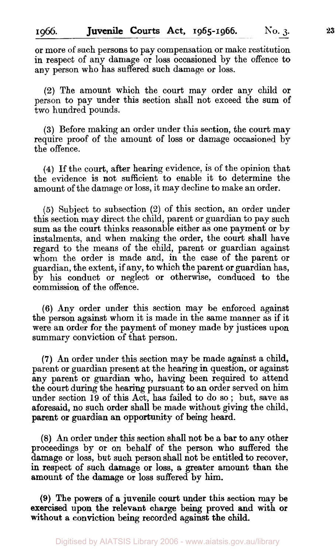### **1966. Juvenile Courts Act, 1965-1966.** No. 3.

or more of such persons to pay compensation or make restitution in respect of any damage or loss occasioned by the offence to any person who has suffered such damage or loss.

**(2)** The amount which the court may order any child or person to pay under this section shall not exceed the sum of two hundred pounds.

**(3)** Before making an order under this section, the court may require proof of the amount of loss or damage occasioned by the offence.

**(4)** If the court, after hearing evidence, is of the opinion that the evidence is not sufficient to enable it to determine the amount of the damage or loss, it may decline to make an order.

(5) Subject to subsection **(2)** of this section, an order under this section may direct the child, parent or guardian to pay such sum as the court thinks reasonable either as one payment or by instalments, and when making the order, the court shall have regard to the means of the child, parent or guardian against whom the order is made and, in the case of the parent or guardian, the extent, if any, to which the parent or guardian has, by his conduct or neglect or otherwise, conduced to the commission of the offence.

**(6)** Any order under this section may be enforced against the person against whom it is made in the same manner as if it were an order for the payment of money made by justices upon summary conviction of that person.

**(7)** An order under this section may be made against a child, parent or guardian present at the hearing in question, or against any parent or guardian who, having been required to attend the court during the hearing pursuant to an order served on him under section **19** of this Act, has failed to do so ; but, save as aforesaid, no such order shall be made without giving the child, parent **or** guardian an opportunity of being heard.

(8) An order under this section shall not be a bar to any other proceedings by or on behalf of the person who suffered the damage or loss, but such person shall not be entitled to recover, in respect of such damage or loss, a greater amount than the amount of the damage or loss suffered by him.

**(9)** The powers **of** a juvenile court under this section may be exercised upon the relevant charge being proved and with **or**  without a conviction being recorded against the **child.**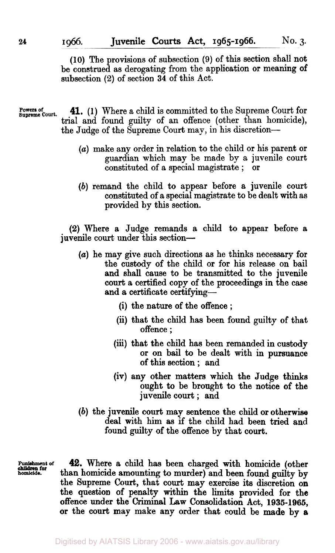**(10)** The provisions of subsection (9) of this section shall not be construed as derogating from the application or meaning of subsection **(2)** of section **34** of this Act.

Powers of **41.** (1) Where a child is committed to the Supreme Court for trial and found guilty of an offence (other than homicide), the Judge of the Supreme Court may, in his discretion-

- *(a)* make any order in relation to the child or his parent or guardian which may be made by a juvenile court constituted of a special magistrate ; or
- (b) remand the child to appear before a juvenile court constituted of a special magistrate to be dealt with as provided by this section.

**(2)** Where a Judge remands a child to appear before a juvenile court under this section-

- *(a)* he may give such directions as he thinks necessary for the custody of the child or for his release on bail and shall cause to be transmitted to the juvenile court a certified copy of the proceedings in the case and a certificate certifying-
	- (i) the nature of the offence ;
	- (ii) that the child has been found guilty of that offence ;
	- **(iii)** that the child has been remanded in custody or on bail to be dealt with in pursuance of this section ; and
	- (iv) any other matters which the Judge thinks ought to be brought to the notice of the juvenile court ; and
- (b) the juvenile **court** may sentence the child or otherwise deal with him as if the child had been tried and found guilty of the offence by that **court.**

**Punishment of homicide. children for** 

**42.** Where a child has been charged with homicide (other than homicide amounting to murder) and been found guilty **by**  the Supreme Court, that court may exercise its discretion **on**  the question of penalty within the limits provided for the offence under the Criminal **Law** Consolidation Act, **1936-1965,**  or the **court** may make any order that could be made by **a**